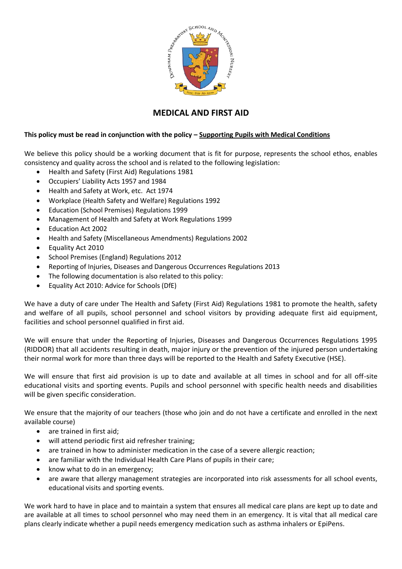

# **MEDICAL AND FIRST AID**

# **This policy must be read in conjunction with the policy – Supporting Pupils with Medical Conditions**

We believe this policy should be a working document that is fit for purpose, represents the school ethos, enables consistency and quality across the school and is related to the following legislation:

- Health and Safety (First Aid) Regulations 1981
- Occupiers' Liability Acts 1957 and 1984
- Health and Safety at Work, etc. Act 1974
- Workplace (Health Safety and Welfare) Regulations 1992
- Education (School Premises) Regulations 1999
- Management of Health and Safety at Work Regulations 1999
- Education Act 2002
- Health and Safety (Miscellaneous Amendments) Regulations 2002
- Equality Act 2010
- School Premises (England) Regulations 2012
- Reporting of Injuries, Diseases and Dangerous Occurrences Regulations 2013
- The following documentation is also related to this policy:
- Equality Act 2010: Advice for Schools (DfE)

We have a duty of care under The Health and Safety (First Aid) Regulations 1981 to promote the health, safety and welfare of all pupils, school personnel and school visitors by providing adequate first aid equipment, facilities and school personnel qualified in first aid.

We will ensure that under the Reporting of Injuries, Diseases and Dangerous Occurrences Regulations 1995 (RIDDOR) that all accidents resulting in death, major injury or the prevention of the injured person undertaking their normal work for more than three days will be reported to the Health and Safety Executive (HSE).

We will ensure that first aid provision is up to date and available at all times in school and for all off-site educational visits and sporting events. Pupils and school personnel with specific health needs and disabilities will be given specific consideration.

We ensure that the majority of our teachers (those who join and do not have a certificate and enrolled in the next available course)

- are trained in first aid;
- will attend periodic first aid refresher training;
- are trained in how to administer medication in the case of a severe allergic reaction;
- are familiar with the Individual Health Care Plans of pupils in their care;
- know what to do in an emergency;
- are aware that allergy management strategies are incorporated into risk assessments for all school events, educational visits and sporting events.

We work hard to have in place and to maintain a system that ensures all medical care plans are kept up to date and are available at all times to school personnel who may need them in an emergency. It is vital that all medical care plans clearly indicate whether a pupil needs emergency medication such as asthma inhalers or EpiPens.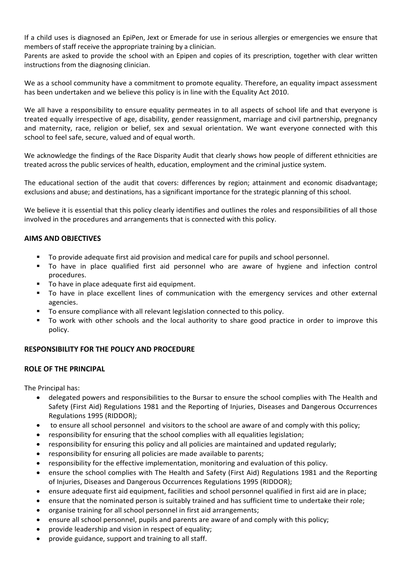If a child uses is diagnosed an EpiPen, Jext or Emerade for use in serious allergies or emergencies we ensure that members of staff receive the appropriate training by a clinician.

Parents are asked to provide the school with an Epipen and copies of its prescription, together with clear written instructions from the diagnosing clinician.

We as a school community have a commitment to promote equality. Therefore, an equality impact assessment has been undertaken and we believe this policy is in line with the Equality Act 2010.

We all have a responsibility to ensure equality permeates in to all aspects of school life and that everyone is treated equally irrespective of age, disability, gender reassignment, marriage and civil partnership, pregnancy and maternity, race, religion or belief, sex and sexual orientation. We want everyone connected with this school to feel safe, secure, valued and of equal worth.

We acknowledge the findings of the Race Disparity Audit that clearly shows how people of different ethnicities are treated across the public services of health, education, employment and the criminal justice system.

The educational section of the audit that covers: differences by region; attainment and economic disadvantage; exclusions and abuse; and destinations, has a significant importance for the strategic planning of this school.

We believe it is essential that this policy clearly identifies and outlines the roles and responsibilities of all those involved in the procedures and arrangements that is connected with this policy.

#### **AIMS AND OBJECTIVES**

- To provide adequate first aid provision and medical care for pupils and school personnel.
- To have in place qualified first aid personnel who are aware of hygiene and infection control procedures.
- To have in place adequate first aid equipment.
- To have in place excellent lines of communication with the emergency services and other external agencies.
- To ensure compliance with all relevant legislation connected to this policy.
- To work with other schools and the local authority to share good practice in order to improve this policy.

## **RESPONSIBILITY FOR THE POLICY AND PROCEDURE**

#### **ROLE OF THE PRINCIPAL**

The Principal has:

- delegated powers and responsibilities to the Bursar to ensure the school complies with The Health and Safety (First Aid) Regulations 1981 and the Reporting of Injuries, Diseases and Dangerous Occurrences Regulations 1995 (RIDDOR);
- to ensure all school personnel and visitors to the school are aware of and comply with this policy;
- responsibility for ensuring that the school complies with all equalities legislation;
- responsibility for ensuring this policy and all policies are maintained and updated regularly;
- responsibility for ensuring all policies are made available to parents;
- responsibility for the effective implementation, monitoring and evaluation of this policy.
- ensure the school complies with The Health and Safety (First Aid) Regulations 1981 and the Reporting of Injuries, Diseases and Dangerous Occurrences Regulations 1995 (RIDDOR);
- ensure adequate first aid equipment, facilities and school personnel qualified in first aid are in place;
- ensure that the nominated person is suitably trained and has sufficient time to undertake their role;
- organise training for all school personnel in first aid arrangements;
- ensure all school personnel, pupils and parents are aware of and comply with this policy;
- provide leadership and vision in respect of equality;
- provide guidance, support and training to all staff.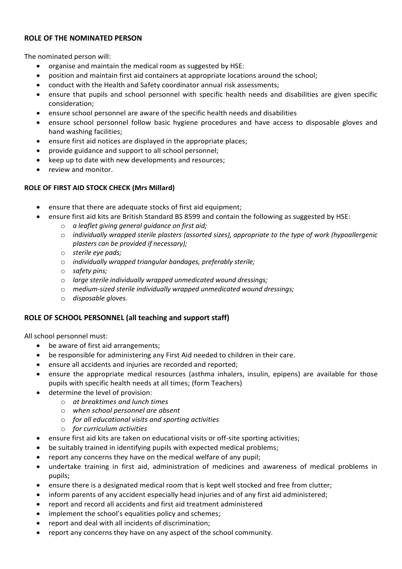# **ROLE OF THE NOMINATED PERSON**

The nominated person will:

- organise and maintain the medical room as suggested by HSE:
- position and maintain first aid containers at appropriate locations around the school;
- conduct with the Health and Safety coordinator annual risk assessments;
- ensure that pupils and school personnel with specific health needs and disabilities are given specific consideration;
- ensure school personnel are aware of the specific health needs and disabilities
- ensure school personnel follow basic hygiene procedures and have access to disposable gloves and hand washing facilities;
- ensure first aid notices are displayed in the appropriate places;
- provide guidance and support to all school personnel;
- keep up to date with new developments and resources;
- review and monitor.

## **ROLE OF FIRST AID STOCK CHECK (Mrs Millard)**

- ensure that there are adequate stocks of first aid equipment;
- ensure first aid kits are British Standard BS 8599 and contain the following as suggested by HSE:
	- o *a leaflet giving general guidance on first aid;*
	- o *individually wrapped sterile plasters (assorted sizes), appropriate to the type of work (hypoallergenic plasters can be provided if necessary);*
	- o *sterile eye pads;*
	- o *individually wrapped triangular bandages, preferably sterile;*
	- o *safety pins;*
	- o *large sterile individually wrapped unmedicated wound dressings;*
	- o *medium-sized sterile individually wrapped unmedicated wound dressings;*
	- o *disposable gloves.*

## **ROLE OF SCHOOL PERSONNEL (all teaching and support staff)**

All school personnel must:

- be aware of first aid arrangements;
- be responsible for administering any First Aid needed to children in their care.
- ensure all accidents and injuries are recorded and reported;
- ensure the appropriate medical resources (asthma inhalers, insulin, epipens) are available for those pupils with specific health needs at all times; (form Teachers)
- determine the level of provision:
	- o *at breaktimes and lunch times*
	- o *when school personnel are absent*
	- o *for all educational visits and sporting activities*
	- o *for curriculum activities*
- ensure first aid kits are taken on educational visits or off-site sporting activities;
- be suitably trained in identifying pupils with expected medical problems;
- report any concerns they have on the medical welfare of any pupil;
- undertake training in first aid, administration of medicines and awareness of medical problems in pupils;
- ensure there is a designated medical room that is kept well stocked and free from clutter;
- inform parents of any accident especially head injuries and of any first aid administered;
- report and record all accidents and first aid treatment administered
- implement the school's equalities policy and schemes;
- report and deal with all incidents of discrimination;
- report any concerns they have on any aspect of the school community.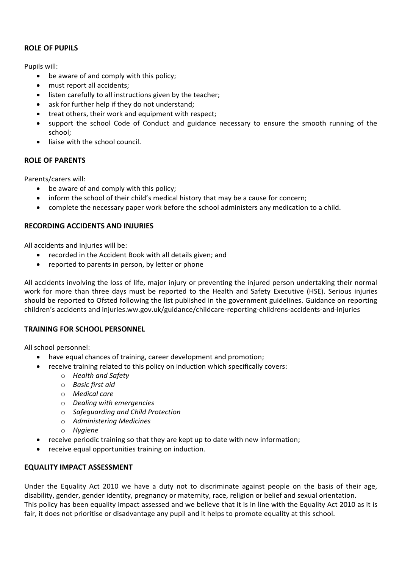# **ROLE OF PUPILS**

Pupils will:

- be aware of and comply with this policy;
- must report all accidents;
- listen carefully to all instructions given by the teacher;
- ask for further help if they do not understand;
- treat others, their work and equipment with respect;
- support the school Code of Conduct and guidance necessary to ensure the smooth running of the school;
- liaise with the school council.

# **ROLE OF PARENTS**

Parents/carers will:

- be aware of and comply with this policy;
- inform the school of their child's medical history that may be a cause for concern;
- complete the necessary paper work before the school administers any medication to a child.

## **RECORDING ACCIDENTS AND INJURIES**

All accidents and injuries will be:

- recorded in the Accident Book with all details given; and
- reported to parents in person, by letter or phone

All accidents involving the loss of life, major injury or preventing the injured person undertaking their normal work for more than three days must be reported to the Health and Safety Executive (HSE). Serious injuries should be reported to Ofsted following the list published in the government guidelines. Guidance on reporting children's accidents and injuries.ww.gov.uk/guidance/childcare-reporting-childrens-accidents-and-injuries

## **TRAINING FOR SCHOOL PERSONNEL**

All school personnel:

- have equal chances of training, career development and promotion;
- receive training related to this policy on induction which specifically covers:
	- o *Health and Safety*
	- o *Basic first aid*
	- o *Medical care*
	- o *Dealing with emergencies*
	- o *Safeguarding and Child Protection*
	- o *Administering Medicines*
	- o *Hygiene*
- receive periodic training so that they are kept up to date with new information;
- receive equal opportunities training on induction.

## **EQUALITY IMPACT ASSESSMENT**

Under the Equality Act 2010 we have a duty not to discriminate against people on the basis of their age, disability, gender, gender identity, pregnancy or maternity, race, religion or belief and sexual orientation. This policy has been equality impact assessed and we believe that it is in line with the Equality Act 2010 as it is fair, it does not prioritise or disadvantage any pupil and it helps to promote equality at this school.